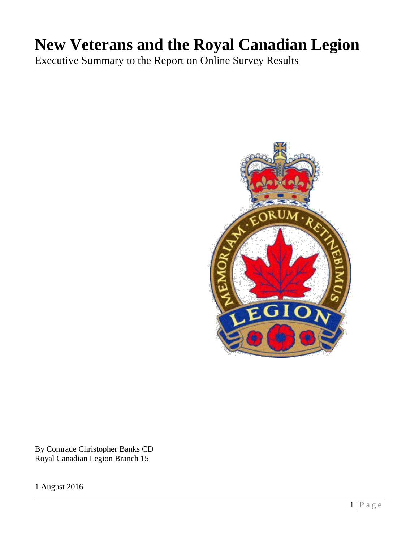# **New Veterans and the Royal Canadian Legion**

Executive Summary to the Report on Online Survey Results



By Comrade Christopher Banks CD Royal Canadian Legion Branch 15

1 August 2016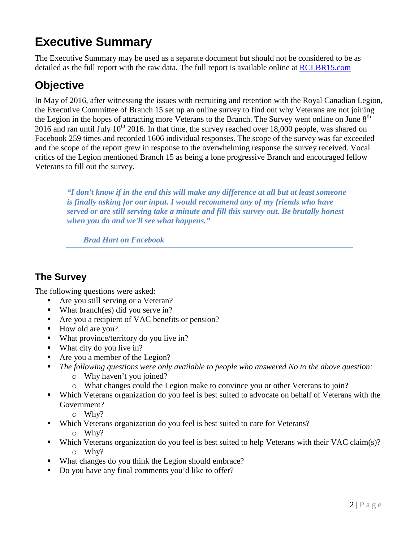## **Executive Summary**

The Executive Summary may be used as a separate document but should not be considered to be as detailed as the full report with the raw data. The full report is available online at [RCLBR15.com](http://www.rclbr15.com/)

### **Objective**

In May of 2016, after witnessing the issues with recruiting and retention with the Royal Canadian Legion, the Executive Committee of Branch 15 set up an online survey to find out why Veterans are not joining the Legion in the hopes of attracting more Veterans to the Branch. The Survey went online on June  $8<sup>th</sup>$ 2016 and ran until July 10<sup>th</sup> 2016. In that time, the survey reached over 18,000 people, was shared on Facebook 259 times and recorded 1606 individual responses. The scope of the survey was far exceeded and the scope of the report grew in response to the overwhelming response the survey received. Vocal critics of the Legion mentioned Branch 15 as being a lone progressive Branch and encouraged fellow Veterans to fill out the survey.

*"I don't know if in the end this will make any difference at all but at least someone is finally asking for our input. I would recommend any of my friends who have served or are still serving take a minute and fill this survey out. Be brutally honest when you do and we'll see what happens."*

*Brad Hart on Facebook*

#### **The Survey**

The following questions were asked:

- Are you still serving or a Veteran?
- What branch(es) did you serve in?
- Are you a recipient of VAC benefits or pension?
- How old are you?
- **What province/territory do you live in?**
- What city do you live in?
- Are you a member of the Legion?
- *The following questions were only available to people who answered No to the above question:*
	- o Why haven't you joined?
	- o What changes could the Legion make to convince you or other Veterans to join?
- Which Veterans organization do you feel is best suited to advocate on behalf of Veterans with the Government?
	- o Why?
- **Which Veterans organization do you feel is best suited to care for Veterans?** 
	- o Why?
- Which Veterans organization do you feel is best suited to help Veterans with their VAC claim(s)? o Why?
- What changes do you think the Legion should embrace?
- Do you have any final comments you'd like to offer?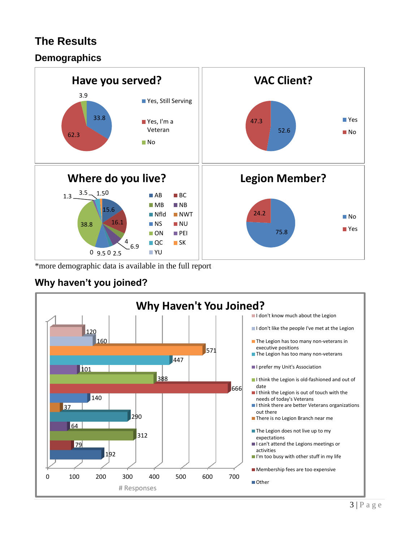### **The Results**

#### **Demographics**



\*more demographic data is available in the full report

#### **Why haven't you joined?**

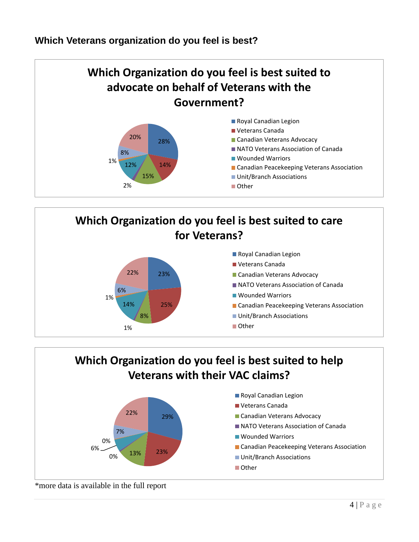#### **Which Veterans organization do you feel is best?**







\*more data is available in the full report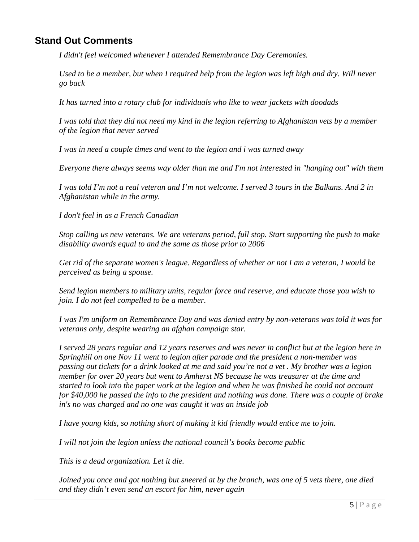#### **Stand Out Comments**

*I didn't feel welcomed whenever I attended Remembrance Day Ceremonies.* 

*Used to be a member, but when I required help from the legion was left high and dry. Will never go back* 

*It has turned into a rotary club for individuals who like to wear jackets with doodads* 

*I was told that they did not need my kind in the legion referring to Afghanistan vets by a member of the legion that never served* 

*I was in need a couple times and went to the legion and i was turned away* 

*Everyone there always seems way older than me and I'm not interested in "hanging out" with them* 

*I was told I'm not a real veteran and I'm not welcome. I served 3 tours in the Balkans. And 2 in Afghanistan while in the army.* 

*I don't feel in as a French Canadian* 

*Stop calling us new veterans. We are veterans period, full stop. Start supporting the push to make disability awards equal to and the same as those prior to 2006* 

*Get rid of the separate women's league. Regardless of whether or not I am a veteran, I would be perceived as being a spouse.* 

*Send legion members to military units, regular force and reserve, and educate those you wish to join. I do not feel compelled to be a member.* 

*I was I'm uniform on Remembrance Day and was denied entry by non-veterans was told it was for veterans only, despite wearing an afghan campaign star.* 

*I served 28 years regular and 12 years reserves and was never in conflict but at the legion here in Springhill on one Nov 11 went to legion after parade and the president a non-member was passing out tickets for a drink looked at me and said you're not a vet . My brother was a legion member for over 20 years but went to Amherst NS because he was treasurer at the time and started to look into the paper work at the legion and when he was finished he could not account for \$40,000 he passed the info to the president and nothing was done. There was a couple of brake in's no was charged and no one was caught it was an inside job* 

*I have young kids, so nothing short of making it kid friendly would entice me to join.* 

*I will not join the legion unless the national council's books become public*

*This is a dead organization. Let it die.*

*Joined you once and got nothing but sneered at by the branch, was one of 5 vets there, one died and they didn't even send an escort for him, never again*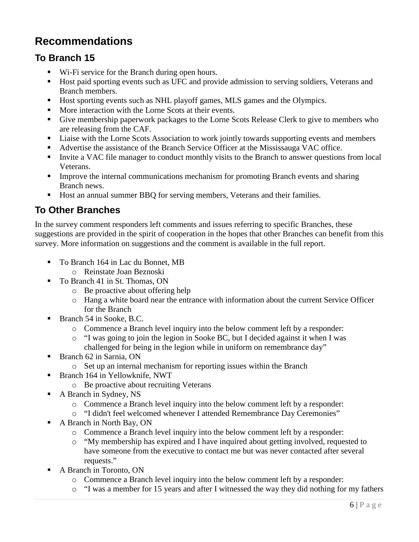### **Recommendations**

#### **To Branch 15**

- Wi-Fi service for the Branch during open hours.
- Host paid sporting events such as UFC and provide admission to serving soldiers, Veterans and Branch members.
- Host sporting events such as NHL playoff games, MLS games and the Olympics.
- **More interaction with the Lorne Scots at their events.**
- Give membership paperwork packages to the Lorne Scots Release Clerk to give to members who are releasing from the CAF.
- Liaise with the Lorne Scots Association to work jointly towards supporting events and members
- Advertise the assistance of the Branch Service Officer at the Mississauga VAC office.
- Invite a VAC file manager to conduct monthly visits to the Branch to answer questions from local Veterans.
- **IMPROVE THE INTERNAL EXECUTE:** Improve the internal communications mechanism for promoting Branch events and sharing Branch news.
- Host an annual summer BBQ for serving members, Veterans and their families.

#### **To Other Branches**

In the survey comment responders left comments and issues referring to specific Branches, these suggestions are provided in the spirit of cooperation in the hopes that other Branches can benefit from this survey. More information on suggestions and the comment is available in the full report.

- To Branch 164 in Lac du Bonnet, MB
	- o Reinstate Joan Beznoski
- To Branch 41 in St. Thomas, ON
	- o Be proactive about offering help
	- o Hang a white board near the entrance with information about the current Service Officer for the Branch
- Branch 54 in Sooke, B.C.
	- $\circ$  Commence a Branch level inquiry into the below comment left by a responder:
	- o "I was going to join the legion in Sooke BC, but I decided against it when I was challenged for being in the legion while in uniform on remembrance day"
- Branch 62 in Sarnia, ON
	- o Set up an internal mechanism for reporting issues within the Branch
- **Branch 164 in Yellowknife, NWT** 
	- o Be proactive about recruiting Veterans
- A Branch in Sydney, NS
	- $\circ$  Commence a Branch level inquiry into the below comment left by a responder:
	- o "I didn't feel welcomed whenever I attended Remembrance Day Ceremonies"
- A Branch in North Bay, ON
	- o Commence a Branch level inquiry into the below comment left by a responder:
	- o "My membership has expired and I have inquired about getting involved, requested to have someone from the executive to contact me but was never contacted after several requests."
- A Branch in Toronto, ON
	- o Commence a Branch level inquiry into the below comment left by a responder:
	- o "I was a member for 15 years and after I witnessed the way they did nothing for my fathers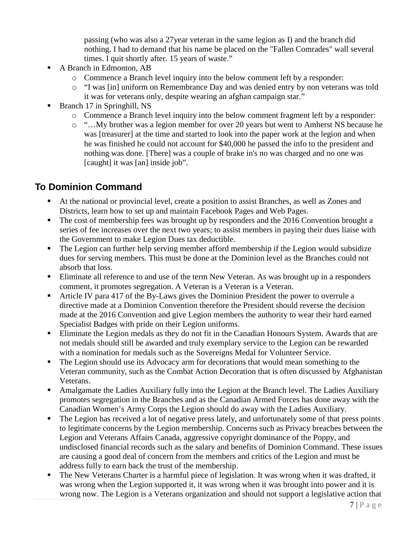passing (who was also a 27year veteran in the same legion as I) and the branch did nothing. I had to demand that his name be placed on the "Fallen Comrades" wall several times. I quit shortly after. 15 years of waste."

- A Branch in Edmonton, AB
	- $\circ$  Commence a Branch level inquiry into the below comment left by a responder:
	- o "I was [in] uniform on Remembrance Day and was denied entry by non veterans was told it was for veterans only, despite wearing an afghan campaign star."
- Branch 17 in Springhill, NS
	- o Commence a Branch level inquiry into the below comment fragment left by a responder:
	- o "…My brother was a legion member for over 20 years but went to Amherst NS because he was [treasurer] at the time and started to look into the paper work at the legion and when he was finished he could not account for \$40,000 he passed the info to the president and nothing was done. [There] was a couple of brake in's no was charged and no one was [caught] it was [an] inside job".

#### **To Dominion Command**

- At the national or provincial level, create a position to assist Branches, as well as Zones and Districts, learn how to set up and maintain Facebook Pages and Web Pages.
- The cost of membership fees was brought up by responders and the 2016 Convention brought a series of fee increases over the next two years; to assist members in paying their dues liaise with the Government to make Legion Dues tax deductible.
- The Legion can further help serving member afford membership if the Legion would subsidize dues for serving members. This must be done at the Dominion level as the Branches could not absorb that loss.
- Eliminate all reference to and use of the term New Veteran. As was brought up in a responders comment, it promotes segregation. A Veteran is a Veteran is a Veteran.
- Article IV para 417 of the By-Laws gives the Dominion President the power to overrule a directive made at a Dominion Convention therefore the President should reverse the decision made at the 2016 Convention and give Legion members the authority to wear their hard earned Specialist Badges with pride on their Legion uniforms.
- Eliminate the Legion medals as they do not fit in the Canadian Honours System. Awards that are not medals should still be awarded and truly exemplary service to the Legion can be rewarded with a nomination for medals such as the Sovereigns Medal for Volunteer Service.
- The Legion should use its Advocacy arm for decorations that would mean something to the Veteran community, such as the Combat Action Decoration that is often discussed by Afghanistan Veterans.
- Amalgamate the Ladies Auxiliary fully into the Legion at the Branch level. The Ladies Auxiliary promotes segregation in the Branches and as the Canadian Armed Forces has done away with the Canadian Women's Army Corps the Legion should do away with the Ladies Auxiliary.
- The Legion has received a lot of negative press lately, and unfortunately some of that press points to legitimate concerns by the Legion membership. Concerns such as Privacy breaches between the Legion and Veterans Affairs Canada, aggressive copyright dominance of the Poppy, and undisclosed financial records such as the salary and benefits of Dominion Command. These issues are causing a good deal of concern from the members and critics of the Legion and must be address fully to earn back the trust of the membership.
- The New Veterans Charter is a harmful piece of legislation. It was wrong when it was drafted, it was wrong when the Legion supported it, it was wrong when it was brought into power and it is wrong now. The Legion is a Veterans organization and should not support a legislative action that